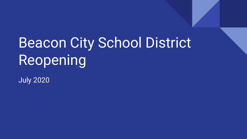# **Beacon City School District** Reopening

July 2020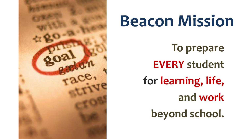

# **Beacon Mission**

**To prepare EVERY student for learning, life, and work beyond school.**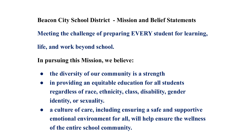**Beacon City School District - Mission and Belief Statements**

**Meeting the challenge of preparing EVERY student for learning,** 

**life, and work beyond school.**

**In pursuing this Mission, we believe:**

- **● the diversity of our community is a strength**
- **● in providing an equitable education for all students regardless of race, ethnicity, class, disability, gender identity, or sexuality.**
- **● a culture of care, including ensuring a safe and supportive emotional environment for all, will help ensure the wellness of the entire school community.**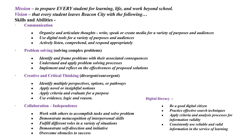*Mission – to prepare EVERY student for learning, life, and work beyond school. Vision – that every student leaves Beacon City with the following…* **Skills and Abilities -** 

- **· Communication**
	- **●** *Organize and articulate thoughts write, speak or create media for a variety of purposes and audiences*
	- **●** *Use digital tools for a variety of purposes and audiences*
	- **●** *Actively listen, comprehend, and respond appropriately*
- **· Problem solving (solving complex problems)**
	- *● Identify and frame problems with their associated consequences*
	- *● Understand and apply problem solving processes*
	- *● Implement and reflect on the effectiveness of proposed solutions*
- **· Creative and Critical Thinking (divergent/convergent)**
	- *● Identify multiple perspectives, options, or pathways*
	- *● Apply novel or insightful notions*
	- *● Apply criteria and evaluate for a purpose*
	- *● Use evidence, logic and reason.*

#### **· Collaboration – Independence**

- **●** *Work with others to accomplish tasks and solve problem*
- **●** *Demonstrate metacognition of interpersonal skills*
- *● Fulfill different roles in a variety of situations*
- *● Demonstrate self-direction and initiative*
- *● Overcome obstacles to success*

#### **Digital literacy -**

- **●** *Be a good digital citizen*
- **●** *Practice effective search techniques*
- **●** *Apply criteria and analysis processes for information validity*
- **●** *Consistently use reliable and valid information in the service of learning*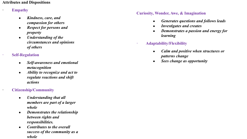#### **Attributes and Dispositions**

### **· Empathy**

- *● Kindness, care, and compassion for others*
- *● Respect for persons and property*
- *● Understanding of the circumstances and opinions of others*

### **· Self-Regulation**

- *● Self-awareness and emotional metacognition*
- *● Ability to recognize and act to regulate reactions and shift actions*

### **· Citizenship/Community**

- *● Understanding that all members are part of a larger whole*
- *● Demonstrates the relationship between rights and responsibilities.*
- *● Contributes to the overall success of the community as a whole*

#### **Curiosity, Wonder, Awe, & Imagination**

- **●** *Generates questions and follows leads*
- *● Investigates and creates*
- *● Demonstrates a passion and energy for learning*

### **· Adaptability/Flexibility**

- *● Calm and positive when structures or patterns change*
- *● Sees change as opportunity*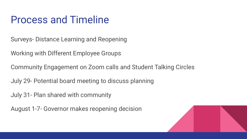### Process and Timeline

Surveys- Distance Learning and Reopening

Working with Different Employee Groups

Community Engagement on Zoom calls and Student Talking Circles

July 29- Potential board meeting to discuss planning

July 31- Plan shared with community

August 1-7- Governor makes reopening decision

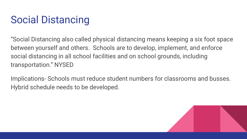# Social Distancing

"Social Distancing also called physical distancing means keeping a six foot space between yourself and others. Schools are to develop, implement, and enforce social distancing in all school facilities and on school grounds, including transportation." NYSED

Implications- Schools must reduce student numbers for classrooms and busses. Hybrid schedule needs to be developed.

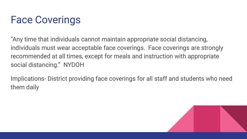# Face Coverings

"Any time that individuals cannot maintain appropriate social distancing, individuals must wear acceptable face coverings. Face coverings are strongly recommended at all times, except for meals and instruction with appropriate social distancing." NYDOH

Implications- District providing face coverings for all staff and students who need them daily

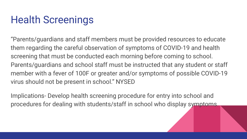# Health Screenings

"Parents/guardians and staff members must be provided resources to educate them regarding the careful observation of symptoms of COVID-19 and health screening that must be conducted each morning before coming to school. Parents/guardians and school staff must be instructed that any student or staff member with a fever of 100F or greater and/or symptoms of possible COVID-19 virus should not be present in school." NYSED

Implications- Develop health screening procedure for entry into school and procedures for dealing with students/staff in school who display symptoms.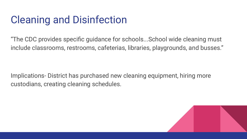# Cleaning and Disinfection

"The CDC provides specific guidance for schools...School wide cleaning must include classrooms, restrooms, cafeterias, libraries, playgrounds, and busses."

Implications- District has purchased new cleaning equipment, hiring more custodians, creating cleaning schedules.

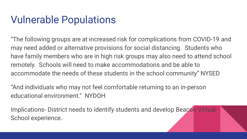### Vulnerable Populations

"The following groups are at increased risk for complications from COVID-19 and may need added or alternative provisions for social distancing. Students who have family members who are in high risk groups may also need to attend school remotely. Schools will need to make accommodations and be able to accommodate the needs of these students in the school community" NYSED

"And individuals who may not feel comfortable returning to an in-person educational environment." NYDOH

Implications- District needs to identify students and develop Beacon Virtual School experience.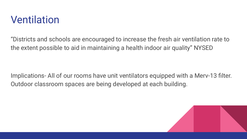### Ventilation

"Districts and schools are encouraged to increase the fresh air ventilation rate to the extent possible to aid in maintaining a health indoor air quality" NYSED

Implications- All of our rooms have unit ventilators equipped with a Merv-13 filter. Outdoor classroom spaces are being developed at each building.

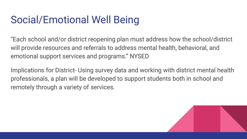## Social/Emotional Well Being

"Each school and/or district reopening plan must address how the school/district will provide resources and referrals to address mental health, behavioral, and emotional support services and programs." NYSED

Implications for District- Using survey data and working with district mental health professionals, a plan will be developed to support students both in school and remotely through a variety of services.

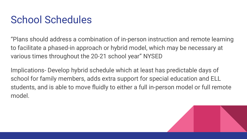## School Schedules

"Plans should address a combination of in-person instruction and remote learning to facilitate a phased-in approach or hybrid model, which may be necessary at various times throughout the 20-21 school year" NYSED

Implications- Develop hybrid schedule which at least has predictable days of school for family members, adds extra support for special education and ELL students, and is able to move fluidly to either a full in-person model or full remote model.

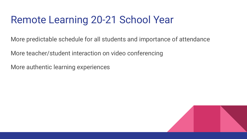### Remote Learning 20-21 School Year

More predictable schedule for all students and importance of attendance

More teacher/student interaction on video conferencing

More authentic learning experiences

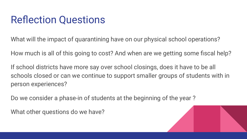### Reflection Questions

What will the impact of quarantining have on our physical school operations?

How much is all of this going to cost? And when are we getting some fiscal help?

If school districts have more say over school closings, does it have to be all schools closed or can we continue to support smaller groups of students with in person experiences?

Do we consider a phase-in of students at the beginning of the year ?

What other questions do we have?